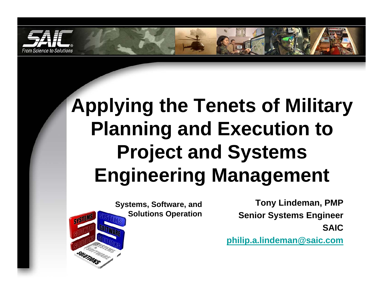

# **Applying the Tenets of Military Planning and Execution to Project and Systems Engineering Management**

**Systems, Software, and Solutions Operation**

**Tony Lindeman, PMP Senior Systems Engineer SAIC**

**[philip.a.lindeman@saic.com](mailto:philip.a.lindeman@saic.com)**

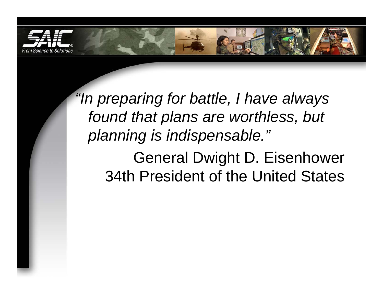

*"In preparing for battle, I have always found that plans are worthless, but planning is indispensable."* General Dwight D. Eisenhower 34th President of the United States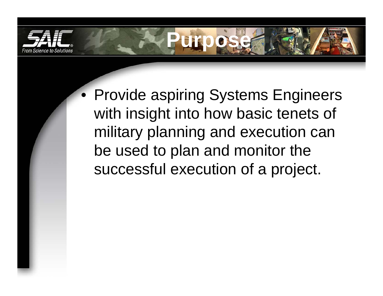

• Provide aspiring Systems Engineers with insight into how basic tenets of military planning and execution can be used to plan and monitor the successful execution of a project.

**Purpose**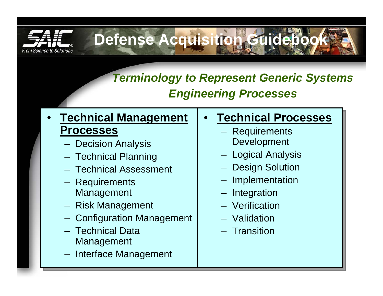

# **Defense Acquisition Guidebo**

### *Terminology to Represent Generic Systems Engineering Processes*

#### • **Technical Management Processes**

- Decision Analysis
- Technical Planning
- Technical Assessment
- Requirements Management
- Risk Management
- Configuration Management
- –Technical Data Management
- Interface Management

#### •**Technical Processes**

- Requirements Development
- Logical Analysis
- Design Solution
- Implementation
- Integration
- –Verification
- Validation
- Transition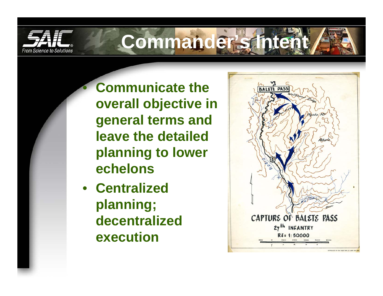

 $\bigcirc$ 

# **Commander's Intent**

 **Communicate the overall objective in general terms and leave the detailed planning to lower echelons**

• **Centralized planning; decentralized execution**

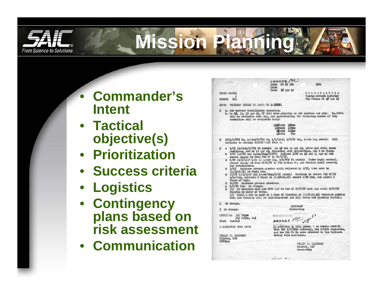

# **Mission Planning**

- $\bullet$  **Commander's Intent**
- **Tactical objective(s)**
- **Prioritization**
- **Success criteria**
- **Logistics**
- **Contingency plans based on risk assessment**
- **Communication**

|                                                                                                                                                                                                                                                                                                                                                                                                                                                                                                                                                                                                                    | $s$ sonss $r$ (H)<br>Auth: CG 25 Div<br>Inits                                                                                                        | <b>KCR:</b>                                                                                                                                                                                                                                                                                                                   |
|--------------------------------------------------------------------------------------------------------------------------------------------------------------------------------------------------------------------------------------------------------------------------------------------------------------------------------------------------------------------------------------------------------------------------------------------------------------------------------------------------------------------------------------------------------------------------------------------------------------------|------------------------------------------------------------------------------------------------------------------------------------------------------|-------------------------------------------------------------------------------------------------------------------------------------------------------------------------------------------------------------------------------------------------------------------------------------------------------------------------------|
|                                                                                                                                                                                                                                                                                                                                                                                                                                                                                                                                                                                                                    | Date: 10 Apr 45                                                                                                                                      |                                                                                                                                                                                                                                                                                                                               |
| FIELD ORDER)<br>NUMBER<br>11)                                                                                                                                                                                                                                                                                                                                                                                                                                                                                                                                                                                      |                                                                                                                                                      | <b>HEADQUARTERS</b><br>Twenty-Seventh Infantry<br>Vic Putlan PI 10 Apr 45                                                                                                                                                                                                                                                     |
|                                                                                                                                                                                                                                                                                                                                                                                                                                                                                                                                                                                                                    |                                                                                                                                                      |                                                                                                                                                                                                                                                                                                                               |
| MAPS: PHOTOMAP DIGDIG TO SANTA FE 1: 10000.                                                                                                                                                                                                                                                                                                                                                                                                                                                                                                                                                                        |                                                                                                                                                      |                                                                                                                                                                                                                                                                                                                               |
| a. See current intelligence summaries.<br>ı<br>ammunition will be available daily:                                                                                                                                                                                                                                                                                                                                                                                                                                                                                                                                 |                                                                                                                                                      | b. On 10, 11, 12 Apr 45, 27 will have priority on air strikes and Arty. 34-SBD's<br>will be available each day, and approximately the following amount of ARty                                                                                                                                                                |
|                                                                                                                                                                                                                                                                                                                                                                                                                                                                                                                                                                                                                    | 1500-Rds 105mm<br>130-Rds 155mm<br>20-Rds 240mm<br>$40 - Rds$<br>8in                                                                                 |                                                                                                                                                                                                                                                                                                                               |
| 27(3/D/775 Tk, 1-Plat/D/775 Tk, 1/1/10AF, 1/C/98 Cal, 1-Mar Dog atchd): will<br>$\overline{2}$<br>continue to envelop BALETE PASS from E.                                                                                                                                                                                                                                                                                                                                                                                                                                                                          |                                                                                                                                                      |                                                                                                                                                                                                                                                                                                                               |
| a 1/27 (1-Plat/D/775 Tk atchd): On 10 and 11 Apr 45, probe and shell enemy<br>3<br>b 2/27 (-3/27 and 1-Sec/81mm/H/27): Relieve 3/27 on 10 and 11 Apr 45 and<br>secure supply Rd from Fwd DP to CP/1/27.<br>c G/27 (1/1/10AF (-Co A) 1-War Dog, 3/D/775 Th Atchd): Under Regtl control.<br>for 3-bulldozers.<br>d 3/27: Continue present mission until relieved by 2/27, then move to<br>(E.75-7.75) as Rogtl Res.<br>e AT/27 (A/1/1GAF and 1-Sec/81mm/H/27 Atchd): Continue to secure Fwd CP/27<br>flank of Regt.<br>f Cn/27: Continue present missions.<br>g 1/0/98 Cml: No change.<br>reports Rd clear of enemy. | positions, and on 12 Apr 45, following Arty preparation, Atk N on ridge.<br>w/1-Plat, maintain R block at (E.50-16.85) secure C/25 Med, and patrol E | Secure Supply Rd from CP/G/27 to Fwd Ration DP, and furnish local security<br>x (1) No vehicles will use 27th Inf Rd Fud of CP/G/27 each day until CO/G/27<br>(2) Until a cut is made on W side of Clearing at (8.75-18.40) vehicles passing<br>thru the clearing will be well-dispersed and will cross the clearing rapidly. |
| No change.                                                                                                                                                                                                                                                                                                                                                                                                                                                                                                                                                                                                         |                                                                                                                                                      |                                                                                                                                                                                                                                                                                                                               |
| 5 No change.                                                                                                                                                                                                                                                                                                                                                                                                                                                                                                                                                                                                       | <b>LINDEMAN</b><br>Commanding                                                                                                                        |                                                                                                                                                                                                                                                                                                                               |
| OFFICIAL /s/ Payne<br>/t/ PAYNE, S-3<br>Dist: Special                                                                                                                                                                                                                                                                                                                                                                                                                                                                                                                                                              | CLASSIFICATION 1999                                                                                                                                  |                                                                                                                                                                                                                                                                                                                               |
| A CERTIFIED TRUE COPY:                                                                                                                                                                                                                                                                                                                                                                                                                                                                                                                                                                                             |                                                                                                                                                      | In addition to this order, I do hereby certify<br>that the 1/3/35th Infantry, the C/65th Engineers,<br>and the 8th FA Bn were attached to the Regiment                                                                                                                                                                        |
| PHILIP F. LINDEMAN<br>Colonel, GSC                                                                                                                                                                                                                                                                                                                                                                                                                                                                                                                                                                                 | during this operation.                                                                                                                               |                                                                                                                                                                                                                                                                                                                               |
| 0272444                                                                                                                                                                                                                                                                                                                                                                                                                                                                                                                                                                                                            |                                                                                                                                                      |                                                                                                                                                                                                                                                                                                                               |
|                                                                                                                                                                                                                                                                                                                                                                                                                                                                                                                                                                                                                    |                                                                                                                                                      | PHILIP F. LINDEMAN<br>Colonel, Inf<br>Commanding                                                                                                                                                                                                                                                                              |
|                                                                                                                                                                                                                                                                                                                                                                                                                                                                                                                                                                                                                    |                                                                                                                                                      |                                                                                                                                                                                                                                                                                                                               |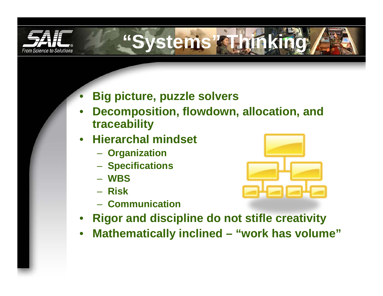



- $\bullet$ **Big picture, puzzle solvers**
- • **Decomposition, flowdown, allocation, and traceability**
- $\bullet$  **Hierarchal mindset**
	- **Organization**
	- **Specifications**
	- **WBS**
	- **Risk**
	- **Communication**



- •**Rigor and discipline do not stifle creativity**
- •**Mathematically inclined – "work has volume"**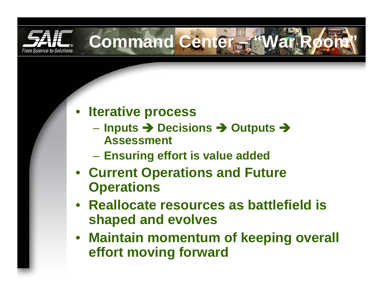

## • **Iterative process**

 **Inputs** Î **Decisions** Î **Outputs** Î **Assessment**

**Command Center – "War Room"**

- **Ensuring effort is value added**
- **Current Operations and Future Operations**
- **Reallocate resources as battlefield is shaped and evolves**
- **Maintain momentum of keeping overall effort moving forward**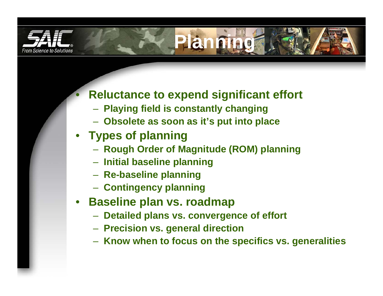

 $\bullet$ 

### **Reluctance to expend significant effort**

**Planning**

- **Playing field is constantly changing**
- **Obsolete as soon as it's put into place**
- **Types of planning**
	- **Rough Order of Magnitude (ROM) planning**
	- **Initial baseline planning**
	- **Re-baseline planning**
	- **Contingency planning**
- • **Baseline plan vs. roadmap**
	- **Detailed plans vs. convergence of effort**
	- **Precision vs. general direction**
	- **Know when to focus on the specifics vs. generalities**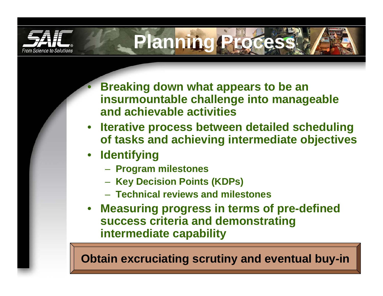

 **Breaking down what appears to be an insurmountable challenge into manageable and achievable activities**

**Planning Process**

- **Iterative process between detailed scheduling of tasks and achieving intermediate objectives**
- **Identifying**

 $\bullet$ 

- **Program milestones**
- **Key Decision Points (KDPs)**
- **Technical reviews and milestones**
- • **Measuring progress in terms of pre-defined success criteria and demonstrating intermediate capability**

**Obtain excruciating scrutiny and eventual buy-in**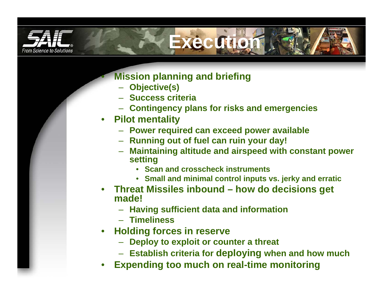

**Execution**

#### **Mission planning and briefing**

- **Objective(s)**
- **Success criteria**
- **Contingency plans for risks and emergencies**
- **Pilot mentality**

•

- **Power required can exceed power available**
- **Running out of fuel can ruin your day!**
- **Maintaining altitude and airspeed with constant power setting**
	- **Scan and crosscheck instruments**
	- **Small and minimal control inputs vs. jerky and erratic**
- **Threat Missiles inbound – how do decisions get made!**
	- **Having sufficient data and information**
	- **Timeliness**
- • **Holding forces in reserve**
	- **Deploy to exploit or counter a threat**
	- **Establish criteria for deploying when and how much**
- •**Expending too much on real-time monitoring**